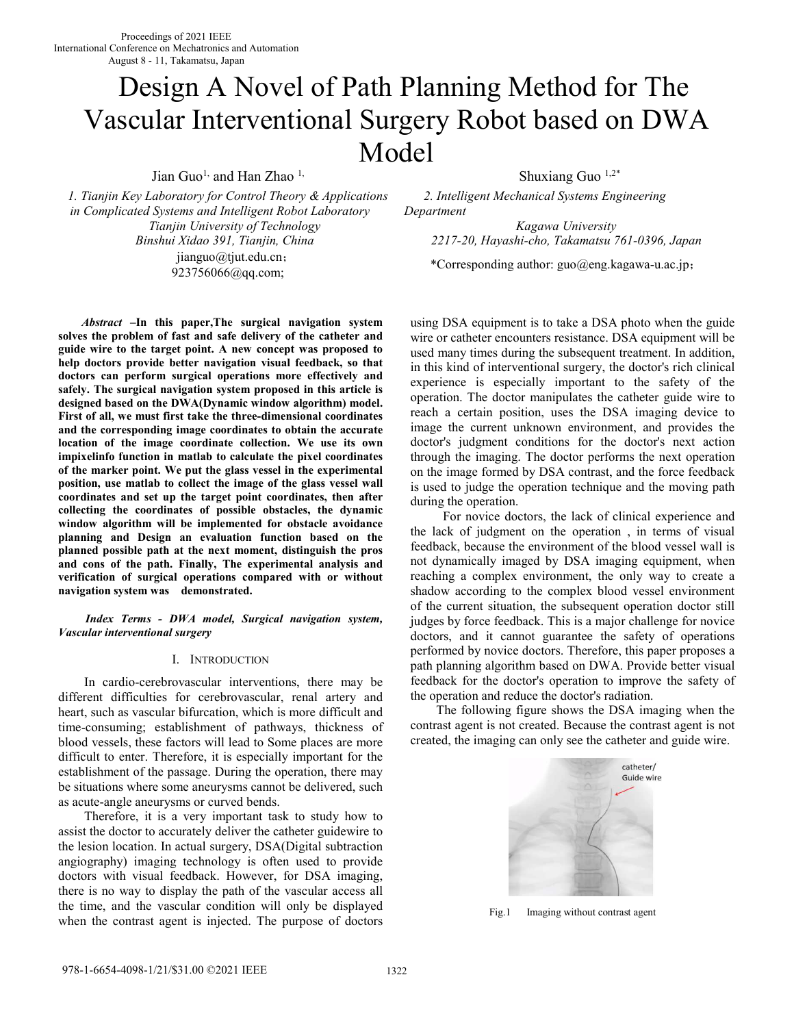# Design A Novel of Path Planning Method for The Vascular Interventional Surgery Robot based on DWA Model

Jian Guo<sup>1,</sup> and Han Zhao<sup>1,</sup> Shuxiang Guo<sup>1,2\*</sup>

*1. Tianjin Key Laboratory for Control Theory & Applications in Complicated Systems and Intelligent Robot Laboratory Tianjin University of Technology*  jianguo@tjut.edu.cn; flanguo@tjut.edu.cn;<br>923756066@qq.com; \*Corresponding author: guo@eng.kagawa-u.ac.jp;

*Abstract* **–In this paper,The surgical navigation system solves the problem of fast and safe delivery of the catheter and guide wire to the target point. A new concept was proposed to help doctors provide better navigation visual feedback, so that doctors can perform surgical operations more effectively and safely. The surgical navigation system proposed in this article is designed based on the DWA(Dynamic window algorithm) model. First of all, we must first take the three-dimensional coordinates and the corresponding image coordinates to obtain the accurate location of the image coordinate collection. We use its own impixelinfo function in matlab to calculate the pixel coordinates of the marker point. We put the glass vessel in the experimental position, use matlab to collect the image of the glass vessel wall coordinates and set up the target point coordinates, then after collecting the coordinates of possible obstacles, the dynamic window algorithm will be implemented for obstacle avoidance planning and Design an evaluation function based on the planned possible path at the next moment, distinguish the pros and cons of the path. Finally, The experimental analysis and verification of surgical operations compared with or without navigation system was demonstrated.**

*Index Terms - DWA model, Surgical navigation system, Vascular interventional surgery* 

## I. INTRODUCTION

In cardio-cerebrovascular interventions, there may be different difficulties for cerebrovascular, renal artery and heart, such as vascular bifurcation, which is more difficult and time-consuming; establishment of pathways, thickness of blood vessels, these factors will lead to Some places are more difficult to enter. Therefore, it is especially important for the establishment of the passage. During the operation, there may be situations where some aneurysms cannot be delivered, such as acute-angle aneurysms or curved bends.

Therefore, it is a very important task to study how to assist the doctor to accurately deliver the catheter guidewire to the lesion location. In actual surgery, DSA(Digital subtraction angiography) imaging technology is often used to provide doctors with visual feedback. However, for DSA imaging, there is no way to display the path of the vascular access all the time, and the vascular condition will only be displayed when the contrast agent is injected. The purpose of doctors

 *2. Intelligent Mechanical Systems Engineering Department* 

*Kagawa University Binshui Xidao 391, Tianjin, China 2217-20, Hayashi-cho, Takamatsu 761-0396, Japan* 

using DSA equipment is to take a DSA photo when the guide wire or catheter encounters resistance. DSA equipment will be used many times during the subsequent treatment. In addition, in this kind of interventional surgery, the doctor's rich clinical experience is especially important to the safety of the operation. The doctor manipulates the catheter guide wire to reach a certain position, uses the DSA imaging device to image the current unknown environment, and provides the doctor's judgment conditions for the doctor's next action through the imaging. The doctor performs the next operation on the image formed by DSA contrast, and the force feedback is used to judge the operation technique and the moving path during the operation.

 For novice doctors, the lack of clinical experience and the lack of judgment on the operation , in terms of visual feedback, because the environment of the blood vessel wall is not dynamically imaged by DSA imaging equipment, when reaching a complex environment, the only way to create a shadow according to the complex blood vessel environment of the current situation, the subsequent operation doctor still judges by force feedback. This is a major challenge for novice doctors, and it cannot guarantee the safety of operations performed by novice doctors. Therefore, this paper proposes a path planning algorithm based on DWA. Provide better visual feedback for the doctor's operation to improve the safety of the operation and reduce the doctor's radiation.

The following figure shows the DSA imaging when the contrast agent is not created. Because the contrast agent is not created, the imaging can only see the catheter and guide wire.



Fig.1 Imaging without contrast agent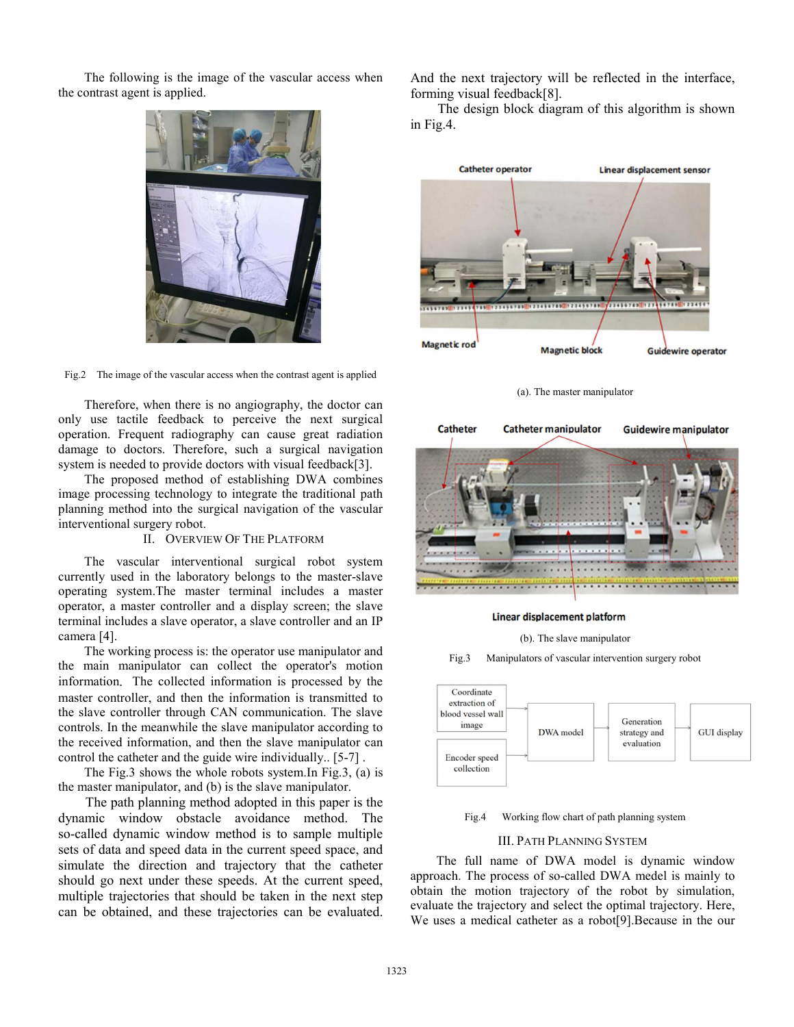The following is the image of the vascular access when the contrast agent is applied.



Fig.2 The image of the vascular access when the contrast agent is applied

Therefore, when there is no angiography, the doctor can only use tactile feedback to perceive the next surgical operation. Frequent radiography can cause great radiation damage to doctors. Therefore, such a surgical navigation system is needed to provide doctors with visual feedback[3].

The proposed method of establishing DWA combines image processing technology to integrate the traditional path planning method into the surgical navigation of the vascular interventional surgery robot.

# II. OVERVIEW OF THE PLATFORM

The vascular interventional surgical robot system currently used in the laboratory belongs to the master-slave operating system.The master terminal includes a master operator, a master controller and a display screen; the slave terminal includes a slave operator, a slave controller and an IP camera [4].

The working process is: the operator use manipulator and the main manipulator can collect the operator's motion information. The collected information is processed by the master controller, and then the information is transmitted to the slave controller through CAN communication. The slave controls. In the meanwhile the slave manipulator according to the received information, and then the slave manipulator can control the catheter and the guide wire individually.. [5-7] .

The Fig.3 shows the whole robots system.In Fig.3, (a) is the master manipulator, and (b) is the slave manipulator.

The path planning method adopted in this paper is the dynamic window obstacle avoidance method. The so-called dynamic window method is to sample multiple sets of data and speed data in the current speed space, and simulate the direction and trajectory that the catheter should go next under these speeds. At the current speed, multiple trajectories that should be taken in the next step can be obtained, and these trajectories can be evaluated.

And the next trajectory will be reflected in the interface, forming visual feedback[8].

The design block diagram of this algorithm is shown in Fig.4.



(a). The master manipulator



#### Linear displacement platform

(b). The slave manipulator

Fig.3 Manipulators of vascular intervention surgery robot



Fig.4 Working flow chart of path planning system

## III. PATH PLANNING SYSTEM

The full name of DWA model is dynamic window approach. The process of so-called DWA medel is mainly to obtain the motion trajectory of the robot by simulation, evaluate the trajectory and select the optimal trajectory. Here, We uses a medical catheter as a robot[9].Because in the our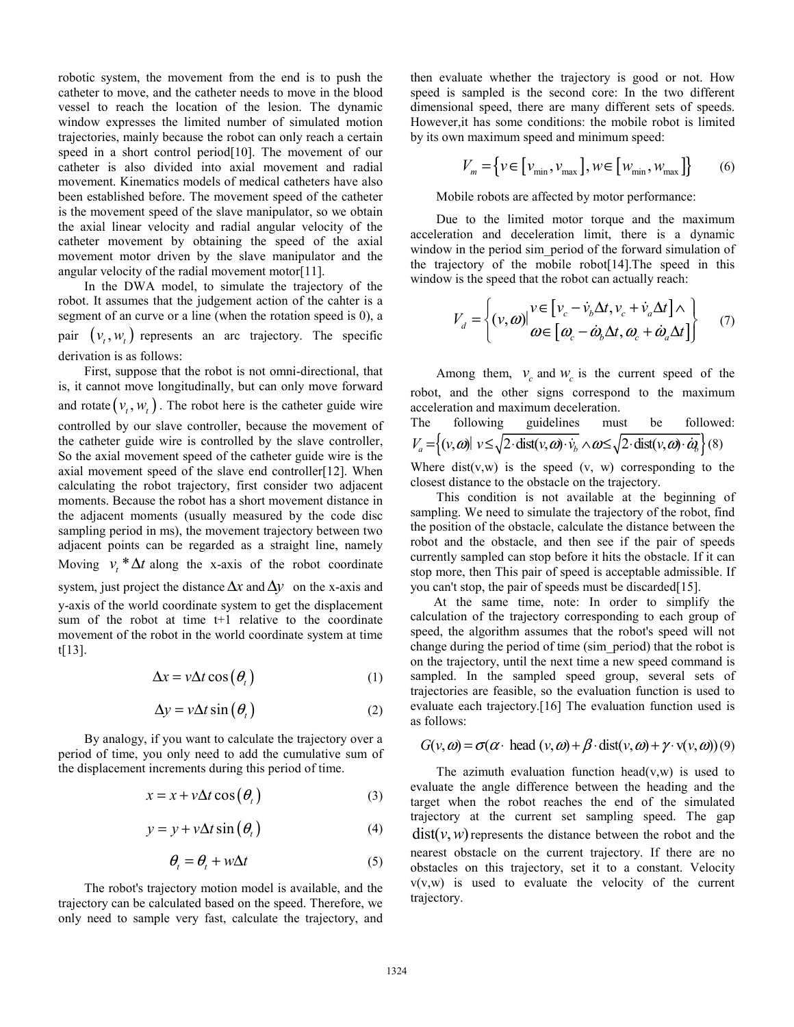robotic system, the movement from the end is to push the catheter to move, and the catheter needs to move in the blood vessel to reach the location of the lesion. The dynamic window expresses the limited number of simulated motion trajectories, mainly because the robot can only reach a certain speed in a short control period[10]. The movement of our catheter is also divided into axial movement and radial movement. Kinematics models of medical catheters have also been established before. The movement speed of the catheter is the movement speed of the slave manipulator, so we obtain the axial linear velocity and radial angular velocity of the catheter movement by obtaining the speed of the axial movement motor driven by the slave manipulator and the angular velocity of the radial movement motor[11].

In the DWA model, to simulate the trajectory of the robot. It assumes that the judgement action of the cahter is a segment of an curve or a line (when the rotation speed is 0), a pair  $(v_t, w_t)$  represents an arc trajectory. The specific derivation is as follows:

First, suppose that the robot is not omni-directional, that is, it cannot move longitudinally, but can only move forward and rotate  $(v_t, w_t)$ . The robot here is the catheter guide wire controlled by our slave controller, because the movement of the catheter guide wire is controlled by the slave controller, So the axial movement speed of the catheter guide wire is the axial movement speed of the slave end controller[12]. When calculating the robot trajectory, first consider two adjacent moments. Because the robot has a short movement distance in the adjacent moments (usually measured by the code disc sampling period in ms), the movement trajectory between two adjacent points can be regarded as a straight line, namely Moving  $v_t * \Delta t$  along the x-axis of the robot coordinate system, just project the distance ∆*x* and∆*y* on the x-axis and y-axis of the world coordinate system to get the displacement sum of the robot at time t+1 relative to the coordinate movement of the robot in the world coordinate system at time t[13].

$$
\Delta x = v \Delta t \cos \left( \theta_{t} \right) \tag{1}
$$

$$
\Delta y = v \Delta t \sin \left( \theta_{t} \right) \tag{2}
$$

By analogy, if you want to calculate the trajectory over a period of time, you only need to add the cumulative sum of the displacement increments during this period of time.

$$
x = x + v\Delta t \cos(\theta_t)
$$
 (3)

$$
y = y + v\Delta t \sin(\theta_t)
$$
 (4)

$$
\theta_t = \theta_t + w\Delta t \tag{5}
$$

The robot's trajectory motion model is available, and the trajectory can be calculated based on the speed. Therefore, we only need to sample very fast, calculate the trajectory, and then evaluate whether the trajectory is good or not. How speed is sampled is the second core: In the two different dimensional speed, there are many different sets of speeds. However,it has some conditions: the mobile robot is limited by its own maximum speed and minimum speed:

$$
V_m = \{ v \in [v_{\min}, v_{\max}], w \in [w_{\min}, w_{\max}] \}
$$
 (6)

Mobile robots are affected by motor performance:

Due to the limited motor torque and the maximum acceleration and deceleration limit, there is a dynamic window in the period sim period of the forward simulation of the trajectory of the mobile robot[14].The speed in this window is the speed that the robot can actually reach:

$$
V_d = \left\{ (v, \omega) \middle| \begin{aligned} v &\in \left[ v_c - \dot{v}_b \Delta t, v_c + \dot{v}_a \Delta t \right] \wedge \\ \omega &\in \left[ \omega_c - \dot{\omega}_b \Delta t, \omega_c + \dot{\omega}_a \Delta t \right] \end{aligned} \right\} \tag{7}
$$

Among them,  $v_c$  and  $w_c$  is the current speed of the robot, and the other signs correspond to the maximum acceleration and maximum deceleration.

The following guidelines must be followed:  

$$
V_a = \{(v, \omega) | v \le \sqrt{2 \cdot \text{dist}(v, \omega) \cdot v_b} \wedge \omega \le \sqrt{2 \cdot \text{dist}(v, \omega) \cdot \alpha} \} (8)
$$

Where  $dist(v, w)$  is the speed  $(v, w)$  corresponding to the closest distance to the obstacle on the trajectory.

This condition is not available at the beginning of sampling. We need to simulate the trajectory of the robot, find the position of the obstacle, calculate the distance between the robot and the obstacle, and then see if the pair of speeds currently sampled can stop before it hits the obstacle. If it can stop more, then This pair of speed is acceptable admissible. If you can't stop, the pair of speeds must be discarded[15].

 At the same time, note: In order to simplify the calculation of the trajectory corresponding to each group of speed, the algorithm assumes that the robot's speed will not change during the period of time (sim\_period) that the robot is on the trajectory, until the next time a new speed command is sampled. In the sampled speed group, several sets of trajectories are feasible, so the evaluation function is used to evaluate each trajectory.[16] The evaluation function used is as follows:

$$
G(v, \omega) = \sigma(\alpha \cdot \text{head}(v, \omega) + \beta \cdot \text{dist}(v, \omega) + \gamma \cdot v(v, \omega))
$$
 (9)

The azimuth evaluation function head $(v,w)$  is used to evaluate the angle difference between the heading and the target when the robot reaches the end of the simulated trajectory at the current set sampling speed. The gap  $dist(v, w)$  represents the distance between the robot and the nearest obstacle on the current trajectory. If there are no obstacles on this trajectory, set it to a constant. Velocity v(v,w) is used to evaluate the velocity of the current trajectory.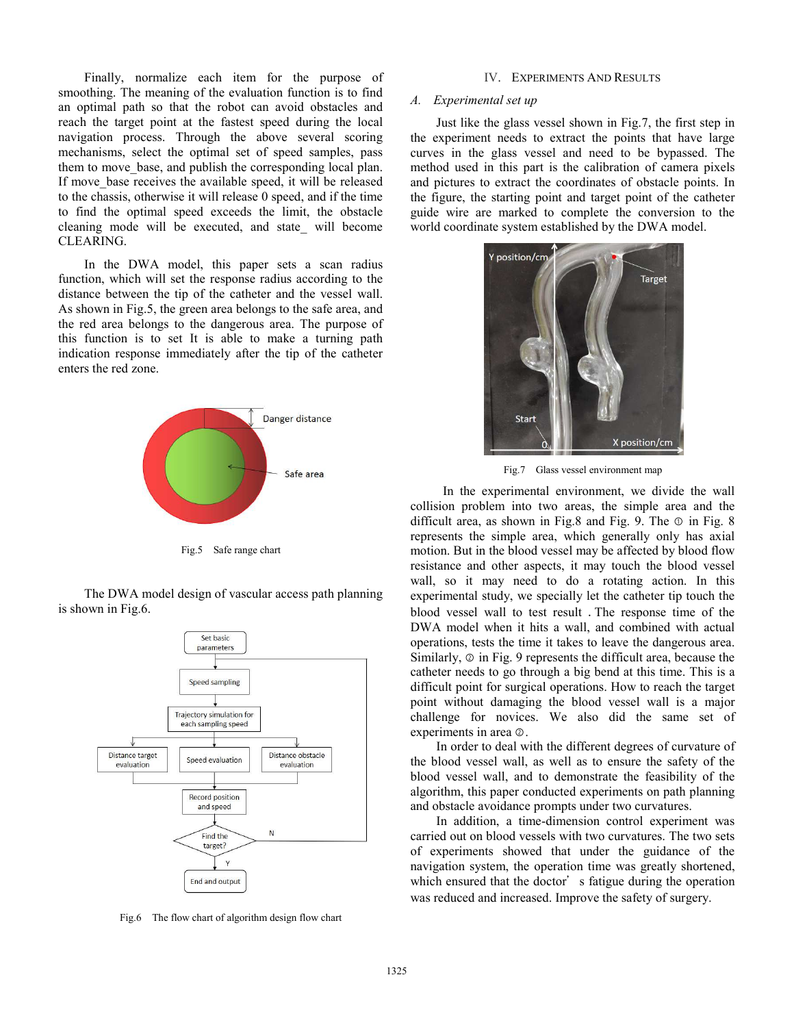Finally, normalize each item for the purpose of smoothing. The meaning of the evaluation function is to find an optimal path so that the robot can avoid obstacles and reach the target point at the fastest speed during the local navigation process. Through the above several scoring mechanisms, select the optimal set of speed samples, pass them to move base, and publish the corresponding local plan. If move base receives the available speed, it will be released to the chassis, otherwise it will release 0 speed, and if the time to find the optimal speed exceeds the limit, the obstacle cleaning mode will be executed, and state\_ will become CLEARING.

In the DWA model, this paper sets a scan radius function, which will set the response radius according to the distance between the tip of the catheter and the vessel wall. As shown in Fig.5, the green area belongs to the safe area, and the red area belongs to the dangerous area. The purpose of this function is to set It is able to make a turning path indication response immediately after the tip of the catheter enters the red zone.



Fig.5 Safe range chart

The DWA model design of vascular access path planning is shown in Fig.6.



Fig.6 The flow chart of algorithm design flow chart

#### Ⅳ. EXPERIMENTS AND RESULTS

# *A. Experimental set up*

Just like the glass vessel shown in Fig.7, the first step in the experiment needs to extract the points that have large curves in the glass vessel and need to be bypassed. The method used in this part is the calibration of camera pixels and pictures to extract the coordinates of obstacle points. In the figure, the starting point and target point of the catheter guide wire are marked to complete the conversion to the world coordinate system established by the DWA model.



Fig.7 Glass vessel environment map

 In the experimental environment, we divide the wall collision problem into two areas, the simple area and the difficult area, as shown in Fig.8 and Fig. 9. The  $\odot$  in Fig. 8 represents the simple area, which generally only has axial motion. But in the blood vessel may be affected by blood flow resistance and other aspects, it may touch the blood vessel wall, so it may need to do a rotating action. In this experimental study, we specially let the catheter tip touch the blood vessel wall to test result .The response time of the DWA model when it hits a wall, and combined with actual operations, tests the time it takes to leave the dangerous area. Similarly, ② in Fig. 9 represents the difficult area, because the catheter needs to go through a big bend at this time. This is a difficult point for surgical operations. How to reach the target point without damaging the blood vessel wall is a major challenge for novices. We also did the same set of experiments in area ②.

In order to deal with the different degrees of curvature of the blood vessel wall, as well as to ensure the safety of the blood vessel wall, and to demonstrate the feasibility of the algorithm, this paper conducted experiments on path planning and obstacle avoidance prompts under two curvatures.

In addition, a time-dimension control experiment was carried out on blood vessels with two curvatures. The two sets of experiments showed that under the guidance of the navigation system, the operation time was greatly shortened, which ensured that the doctor's fatigue during the operation was reduced and increased. Improve the safety of surgery.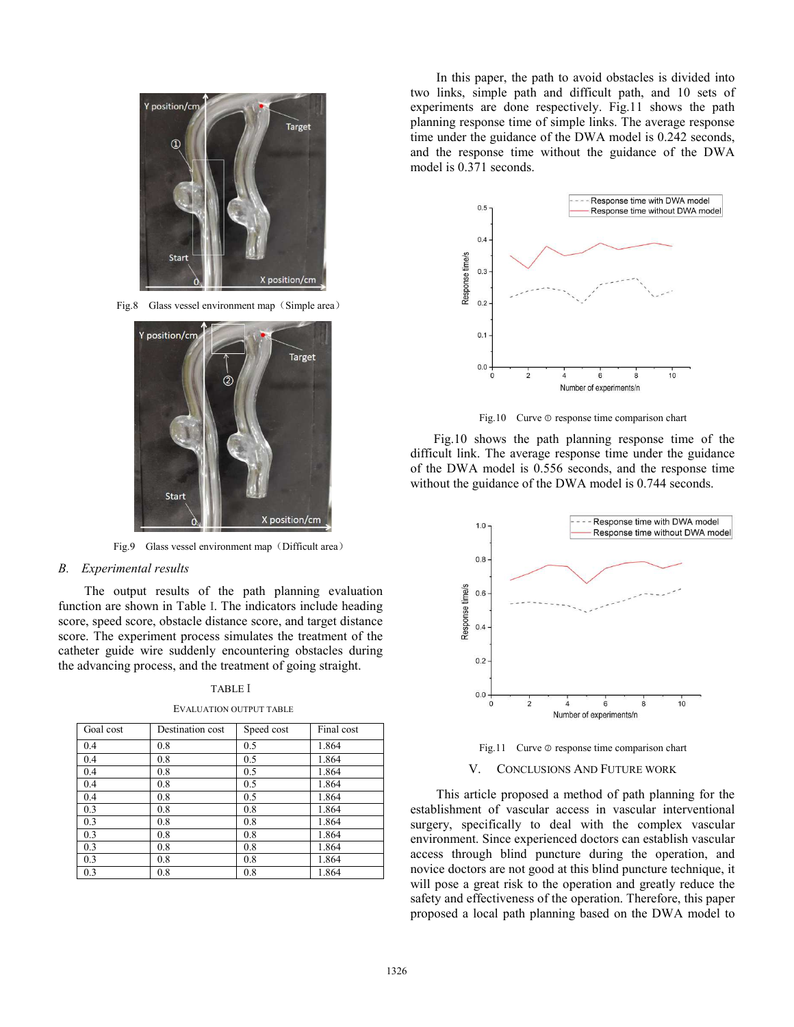

Fig.8 Glass vessel environment map (Simple area)



Fig.9 Glass vessel environment map (Difficult area)

# *B. Experimental results*

The output results of the path planning evaluation function are shown in Table Ⅰ. The indicators include heading score, speed score, obstacle distance score, and target distance score. The experiment process simulates the treatment of the catheter guide wire suddenly encountering obstacles during the advancing process, and the treatment of going straight.

# TABLE Ⅰ

| Goal cost | Destination cost | Speed cost | Final cost |
|-----------|------------------|------------|------------|
| 0.4       | 0.8              | 0.5        | 1.864      |
| 0.4       | 0.8              | 0.5        | 1.864      |
| 0.4       | 0.8              | 0.5        | 1.864      |
| 0.4       | 0.8              | 0.5        | 1.864      |
| 0.4       | 0.8              | 0.5        | 1.864      |
| 0.3       | 0.8              | 0.8        | 1.864      |
| 0.3       | 0.8              | 0.8        | 1.864      |
| 0.3       | 0.8              | 0.8        | 1.864      |
| 0.3       | 0.8              | 0.8        | 1.864      |
| 0.3       | 0.8              | 0.8        | 1.864      |
| 0.3       | 0.8              | 0.8        | 1.864      |

In this paper, the path to avoid obstacles is divided into two links, simple path and difficult path, and 10 sets of experiments are done respectively. Fig.11 shows the path planning response time of simple links. The average response time under the guidance of the DWA model is 0.242 seconds, and the response time without the guidance of the DWA model is 0.371 seconds.



Fig.10 Curve  $\odot$  response time comparison chart

 Fig.10 shows the path planning response time of the difficult link. The average response time under the guidance of the DWA model is 0.556 seconds, and the response time without the guidance of the DWA model is 0.744 seconds.



Fig.11 Curve ② response time comparison chart

V. CONCLUSIONS AND FUTURE WORK

This article proposed a method of path planning for the establishment of vascular access in vascular interventional surgery, specifically to deal with the complex vascular environment. Since experienced doctors can establish vascular access through blind puncture during the operation, and novice doctors are not good at this blind puncture technique, it will pose a great risk to the operation and greatly reduce the safety and effectiveness of the operation. Therefore, this paper proposed a local path planning based on the DWA model to